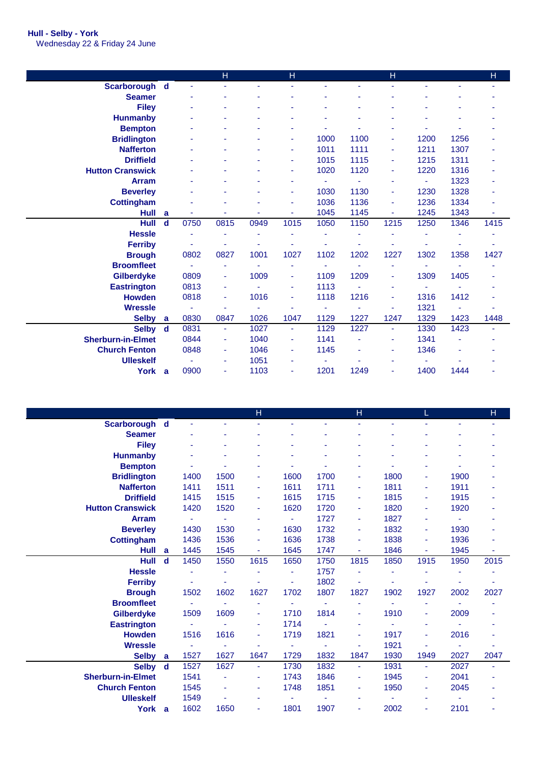## **Hull - Selby - York** Wednesday 22 & Friday 24 June

|                          |             |      | н              |      | H                        |      |      | H              |      |      | H    |
|--------------------------|-------------|------|----------------|------|--------------------------|------|------|----------------|------|------|------|
| Scarborough d            |             |      |                |      |                          |      |      |                |      |      |      |
| <b>Seamer</b>            |             |      |                |      |                          |      |      |                |      |      |      |
| <b>Filey</b>             |             |      |                |      |                          |      |      |                |      |      |      |
| <b>Hunmanby</b>          |             |      |                |      |                          |      |      |                |      |      |      |
| <b>Bempton</b>           |             |      |                |      |                          |      |      |                |      |      |      |
| <b>Bridlington</b>       |             |      |                |      |                          | 1000 | 1100 | $\blacksquare$ | 1200 | 1256 |      |
| <b>Nafferton</b>         |             |      |                |      |                          | 1011 | 1111 | $\blacksquare$ | 1211 | 1307 |      |
| <b>Driffield</b>         |             |      |                |      | $\overline{\phantom{a}}$ | 1015 | 1115 | ٠              | 1215 | 1311 |      |
| <b>Hutton Cranswick</b>  |             |      |                |      |                          | 1020 | 1120 | ÷              | 1220 | 1316 |      |
| <b>Arram</b>             |             |      |                |      |                          | ٠    | ä,   | ٠              | ÷    | 1323 |      |
| <b>Beverley</b>          |             |      |                |      |                          | 1030 | 1130 | ÷              | 1230 | 1328 |      |
| <b>Cottingham</b>        |             |      |                |      |                          | 1036 | 1136 | $\blacksquare$ | 1236 | 1334 |      |
| <b>Hull</b>              | a           |      |                |      |                          | 1045 | 1145 | $\blacksquare$ | 1245 | 1343 | ٠    |
| Hull                     | $\mathbf d$ | 0750 | 0815           | 0949 | 1015                     | 1050 | 1150 | 1215           | 1250 | 1346 | 1415 |
| <b>Hessle</b>            |             |      |                |      |                          |      |      |                |      |      |      |
| <b>Ferriby</b>           |             |      |                |      |                          |      |      |                |      |      |      |
| <b>Brough</b>            |             | 0802 | 0827           | 1001 | 1027                     | 1102 | 1202 | 1227           | 1302 | 1358 | 1427 |
| <b>Broomfleet</b>        |             | ٠    | ٠              |      | ٠                        |      | ä,   | ٠              |      | ÷.   |      |
| Gilberdyke               |             | 0809 | ٠              | 1009 | $\blacksquare$           | 1109 | 1209 | ٠              | 1309 | 1405 |      |
| <b>Eastrington</b>       |             | 0813 |                |      |                          | 1113 |      |                |      |      |      |
| <b>Howden</b>            |             | 0818 | ٠              | 1016 | $\blacksquare$           | 1118 | 1216 | $\blacksquare$ | 1316 | 1412 |      |
| <b>Wressle</b>           |             |      |                |      |                          |      |      |                | 1321 |      |      |
| <b>Selby</b>             | a           | 0830 | 0847           | 1026 | 1047                     | 1129 | 1227 | 1247           | 1329 | 1423 | 1448 |
| <b>Selby</b>             | <b>d</b>    | 0831 | ٠              | 1027 | $\blacksquare$           | 1129 | 1227 | ٠              | 1330 | 1423 |      |
| <b>Sherburn-in-Elmet</b> |             | 0844 | $\blacksquare$ | 1040 | $\blacksquare$           | 1141 |      | ٠              | 1341 |      |      |
| <b>Church Fenton</b>     |             | 0848 | ٠              | 1046 | $\blacksquare$           | 1145 |      | ٠              | 1346 |      |      |
| <b>Ulleskelf</b>         |             |      | ٠              | 1051 |                          |      |      |                |      |      |      |
| York a                   |             | 0900 |                | 1103 |                          | 1201 | 1249 |                | 1400 | 1444 |      |

|                          |             |                |                | $\overline{H}$ |                |      | H    |      | L              |      | H    |
|--------------------------|-------------|----------------|----------------|----------------|----------------|------|------|------|----------------|------|------|
| Scarborough d            |             |                |                |                |                |      |      |      |                |      |      |
| <b>Seamer</b>            |             |                |                |                |                |      |      |      |                |      |      |
| <b>Filey</b>             |             |                |                |                |                |      |      |      |                |      |      |
| <b>Hunmanby</b>          |             |                |                |                |                |      |      |      |                |      |      |
| <b>Bempton</b>           |             |                |                |                |                |      |      |      |                |      |      |
| <b>Bridlington</b>       |             | 1400           | 1500           |                | 1600           | 1700 | ٠    | 1800 | ٠              | 1900 |      |
| <b>Nafferton</b>         |             | 1411           | 1511           | ٠              | 1611           | 1711 | ٠    | 1811 | $\blacksquare$ | 1911 |      |
| <b>Driffield</b>         |             | 1415           | 1515           | ٠              | 1615           | 1715 | ٠    | 1815 | $\blacksquare$ | 1915 |      |
| <b>Hutton Cranswick</b>  |             | 1420           | 1520           | ٠              | 1620           | 1720 | ٠    | 1820 | $\blacksquare$ | 1920 |      |
| <b>Arram</b>             |             |                |                |                |                | 1727 | ٠    | 1827 | ٠              |      |      |
| <b>Beverley</b>          |             | 1430           | 1530           | $\blacksquare$ | 1630           | 1732 | ٠    | 1832 | ٠              | 1930 |      |
| <b>Cottingham</b>        |             | 1436           | 1536           | ٠              | 1636           | 1738 | ٠    | 1838 | ٠              | 1936 |      |
| <b>Hull</b>              | a           | 1445           | 1545           | ٠              | 1645           | 1747 | ٠    | 1846 | ä,             | 1945 | ٠    |
| Hull                     | $\mathbf d$ | 1450           | 1550           | 1615           | 1650           | 1750 | 1815 | 1850 | 1915           | 1950 | 2015 |
| <b>Hessle</b>            |             |                |                |                | ۰              | 1757 |      |      |                |      |      |
| <b>Ferriby</b>           |             | ä,             |                |                | $\blacksquare$ | 1802 |      | ä,   |                |      | ۰    |
| <b>Brough</b>            |             | 1502           | 1602           | 1627           | 1702           | 1807 | 1827 | 1902 | 1927           | 2002 | 2027 |
| <b>Broomfleet</b>        |             | $\blacksquare$ |                |                | $\blacksquare$ |      |      | ÷,   |                |      |      |
| Gilberdyke               |             | 1509           | 1609           | ٠              | 1710           | 1814 | ٠    | 1910 | $\blacksquare$ | 2009 | ٠    |
| <b>Eastrington</b>       |             |                |                |                | 1714           |      | ٠    |      | ٠              |      |      |
| <b>Howden</b>            |             | 1516           | 1616           | $\sim$         | 1719           | 1821 | ٠    | 1917 | ٠              | 2016 |      |
| <b>Wressle</b>           |             |                |                |                | ۰              |      |      | 1921 |                |      |      |
| <b>Selby</b>             | a           | 1527           | 1627           | 1647           | 1729           | 1832 | 1847 | 1930 | 1949           | 2027 | 2047 |
| <b>Selby</b>             | $\mathbf d$ | 1527           | 1627           | ÷              | 1730           | 1832 | ٠    | 1931 | $\blacksquare$ | 2027 | ۰    |
| <b>Sherburn-in-Elmet</b> |             | 1541           |                | ٠              | 1743           | 1846 | ٠    | 1945 | ٠              | 2041 |      |
| <b>Church Fenton</b>     |             | 1545           | $\blacksquare$ | $\blacksquare$ | 1748           | 1851 | ٠    | 1950 | $\blacksquare$ | 2045 | ۰    |
| <b>Ulleskelf</b>         |             | 1549           |                |                |                |      |      |      |                |      |      |
| York                     | a           | 1602           | 1650           | ٠              | 1801           | 1907 | ٠    | 2002 | ٠              | 2101 | ٠    |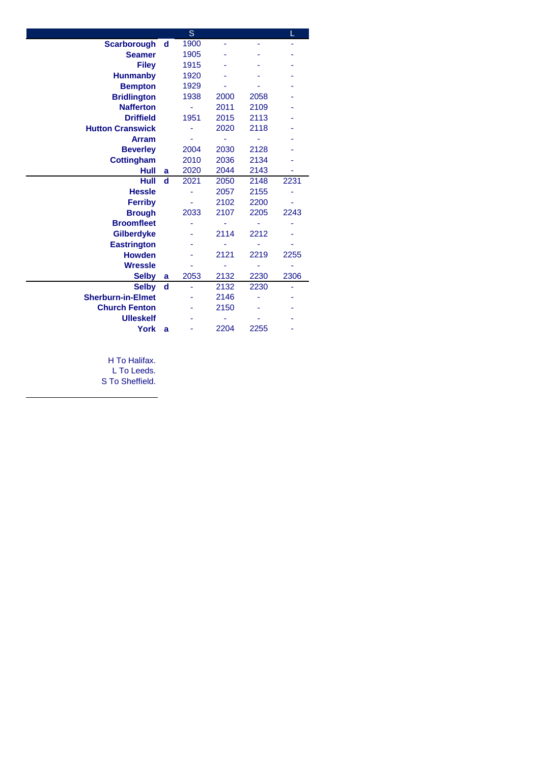|                          |             | S    |      |      | L    |
|--------------------------|-------------|------|------|------|------|
| <b>Scarborough</b>       | d           | 1900 |      |      |      |
| <b>Seamer</b>            |             | 1905 |      |      |      |
| <b>Filey</b>             |             | 1915 |      |      |      |
| <b>Hunmanby</b>          |             | 1920 |      |      |      |
| <b>Bempton</b>           |             | 1929 |      |      |      |
| <b>Bridlington</b>       |             | 1938 | 2000 | 2058 |      |
| <b>Nafferton</b>         |             |      | 2011 | 2109 |      |
| <b>Driffield</b>         |             | 1951 | 2015 | 2113 |      |
| <b>Hutton Cranswick</b>  |             |      | 2020 | 2118 |      |
| <b>Arram</b>             |             |      |      |      |      |
| <b>Beverley</b>          |             | 2004 | 2030 | 2128 |      |
| <b>Cottingham</b>        |             | 2010 | 2036 | 2134 |      |
| Hull                     | a           | 2020 | 2044 | 2143 |      |
| Hull                     | $\mathbf d$ | 2021 | 2050 | 2148 | 2231 |
| <b>Hessle</b>            |             |      | 2057 | 2155 |      |
| <b>Ferriby</b>           |             |      | 2102 | 2200 |      |
| <b>Brough</b>            |             | 2033 | 2107 | 2205 | 2243 |
| <b>Broomfleet</b>        |             |      |      |      |      |
| <b>Gilberdyke</b>        |             |      | 2114 | 2212 |      |
| <b>Eastrington</b>       |             |      |      |      |      |
| <b>Howden</b>            |             |      | 2121 | 2219 | 2255 |
| <b>Wressle</b>           |             |      |      |      |      |
| <b>Selby</b>             | a           | 2053 | 2132 | 2230 | 2306 |
| <b>Selby</b>             | d           | ۰    | 2132 | 2230 |      |
| <b>Sherburn-in-Elmet</b> |             |      | 2146 |      |      |
| <b>Church Fenton</b>     |             |      | 2150 |      |      |
| <b>Ulleskelf</b>         |             |      |      |      |      |
| <b>York</b>              | a           |      | 2204 | 2255 |      |
|                          |             |      |      |      |      |

H To Halifax.

L To Leeds.

S To Sheffield.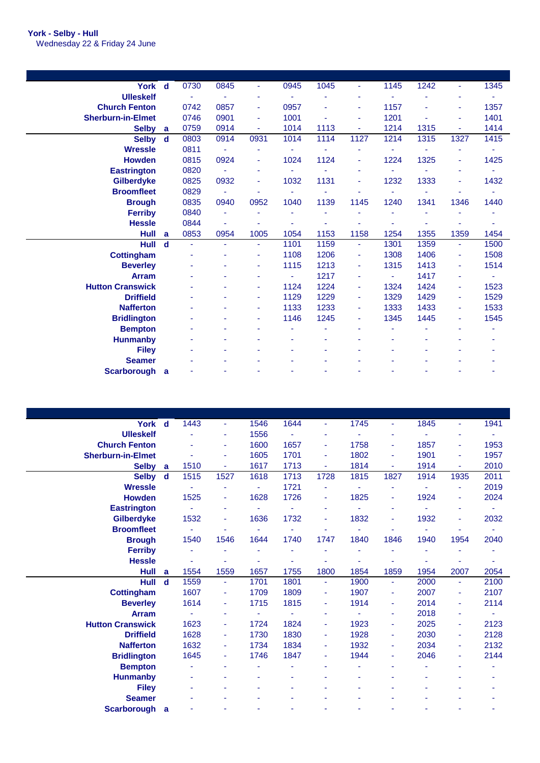| York d                   |             | 0730           | 0845 |      | 0945           | 1045 | ٠              | 1145 | 1242 |                | 1345 |
|--------------------------|-------------|----------------|------|------|----------------|------|----------------|------|------|----------------|------|
| <b>Ulleskelf</b>         |             |                |      |      |                |      |                |      |      |                |      |
| <b>Church Fenton</b>     |             | 0742           | 0857 | ٠    | 0957           |      | ۰              | 1157 |      | $\blacksquare$ | 1357 |
| <b>Sherburn-in-Elmet</b> |             | 0746           | 0901 |      | 1001           | ä,   |                | 1201 |      |                | 1401 |
| <b>Selby</b>             | a           | 0759           | 0914 | ٠    | 1014           | 1113 | $\blacksquare$ | 1214 | 1315 |                | 1414 |
| <b>Selby</b>             | $\mathbf d$ | 0803           | 0914 | 0931 | 1014           | 1114 | 1127           | 1214 | 1315 | 1327           | 1415 |
| <b>Wressle</b>           |             | 0811           |      |      | ÷              |      |                |      |      |                | ٠    |
| <b>Howden</b>            |             | 0815           | 0924 |      | 1024           | 1124 |                | 1224 | 1325 |                | 1425 |
| <b>Eastrington</b>       |             | 0820           |      |      | $\blacksquare$ |      | ۰              | ۰    |      |                | ٠    |
| <b>Gilberdyke</b>        |             | 0825           | 0932 |      | 1032           | 1131 |                | 1232 | 1333 |                | 1432 |
| <b>Broomfleet</b>        |             | 0829           | ٠    |      | ÷,             |      |                | ٠    |      |                | ٠    |
| <b>Brough</b>            |             | 0835           | 0940 | 0952 | 1040           | 1139 | 1145           | 1240 | 1341 | 1346           | 1440 |
| <b>Ferriby</b>           |             | 0840           | ٠    |      |                | ٠    |                |      |      |                |      |
| <b>Hessle</b>            |             | 0844           |      |      |                |      |                |      |      |                | ۰    |
| Hull                     | a           | 0853           | 0954 | 1005 | 1054           | 1153 | 1158           | 1254 | 1355 | 1359           | 1454 |
| <b>Hull</b>              | $\mathbf d$ | $\blacksquare$ | ٠    | ÷    | 1101           | 1159 | $\blacksquare$ | 1301 | 1359 | $\blacksquare$ | 1500 |
| <b>Cottingham</b>        |             |                |      |      | 1108           | 1206 | ä,             | 1308 | 1406 | $\blacksquare$ | 1508 |
| <b>Beverley</b>          |             |                |      | ۰    | 1115           | 1213 | ä,             | 1315 | 1413 | $\blacksquare$ | 1514 |
| <b>Arram</b>             |             |                |      |      | ÷              | 1217 | ۰              | ۰    | 1417 | $\blacksquare$ | ٠    |
| <b>Hutton Cranswick</b>  |             |                |      |      | 1124           | 1224 | $\blacksquare$ | 1324 | 1424 | $\blacksquare$ | 1523 |
| <b>Driffield</b>         |             |                |      | ٠    | 1129           | 1229 | $\blacksquare$ | 1329 | 1429 | $\blacksquare$ | 1529 |
| <b>Nafferton</b>         |             |                |      |      | 1133           | 1233 | $\blacksquare$ | 1333 | 1433 | $\blacksquare$ | 1533 |
| <b>Bridlington</b>       |             |                |      | ۰    | 1146           | 1245 | ۰              | 1345 | 1445 | $\blacksquare$ | 1545 |
| <b>Bempton</b>           |             |                |      |      |                |      |                |      |      |                |      |
| <b>Hunmanby</b>          |             |                |      |      |                |      |                |      |      |                |      |
| <b>Filey</b>             |             |                |      |      |                |      |                |      |      |                |      |
| <b>Seamer</b>            |             |                |      |      |                |      |                |      |      |                |      |
| Scarborough a            |             |                |      |      |                |      |                |      |      |                |      |

| York d                   |             | 1443 | ٠    | 1546 | 1644 | ٠    | 1745 | ٠              | 1845 | ٠    | 1941 |
|--------------------------|-------------|------|------|------|------|------|------|----------------|------|------|------|
| <b>Ulleskelf</b>         |             |      |      | 1556 |      |      |      |                |      |      |      |
| <b>Church Fenton</b>     |             |      | ٠    | 1600 | 1657 | ٠    | 1758 | ٠              | 1857 | ۰    | 1953 |
| <b>Sherburn-in-Elmet</b> |             |      |      | 1605 | 1701 | ٠    | 1802 | ٠              | 1901 |      | 1957 |
| <b>Selby</b>             | a           | 1510 | ÷    | 1617 | 1713 | ÷    | 1814 | $\blacksquare$ | 1914 |      | 2010 |
| <b>Selby</b>             | $\mathbf d$ | 1515 | 1527 | 1618 | 1713 | 1728 | 1815 | 1827           | 1914 | 1935 | 2011 |
| <b>Wressle</b>           |             |      |      |      | 1721 |      |      |                |      |      | 2019 |
| <b>Howden</b>            |             | 1525 | ٠    | 1628 | 1726 | ٠    | 1825 | ٠              | 1924 | ٠    | 2024 |
| <b>Eastrington</b>       |             |      |      |      |      |      |      | ٠              |      |      |      |
| Gilberdyke               |             | 1532 |      | 1636 | 1732 | ٠    | 1832 | ٠              | 1932 | ۰    | 2032 |
| <b>Broomfleet</b>        |             |      |      |      |      |      |      |                |      |      |      |
| <b>Brough</b>            |             | 1540 | 1546 | 1644 | 1740 | 1747 | 1840 | 1846           | 1940 | 1954 | 2040 |
| <b>Ferriby</b>           |             |      |      | ٠    |      |      |      | $\blacksquare$ |      |      |      |
| <b>Hessle</b>            |             |      |      |      |      |      |      |                |      |      |      |
| Hull                     | a           | 1554 | 1559 | 1657 | 1755 | 1800 | 1854 | 1859           | 1954 | 2007 | 2054 |
| Hull                     | $\mathbf d$ | 1559 | ÷    | 1701 | 1801 | ۰    | 1900 | ٠              | 2000 | ٠    | 2100 |
| <b>Cottingham</b>        |             | 1607 | ٠    | 1709 | 1809 | ٠    | 1907 | ٠              | 2007 | ۰    | 2107 |
| <b>Beverley</b>          |             | 1614 | ٠    | 1715 | 1815 | ۰    | 1914 | ٠              | 2014 | ٠    | 2114 |
| <b>Arram</b>             |             |      |      |      |      | ۰    |      | ٠              | 2018 |      |      |
| <b>Hutton Cranswick</b>  |             | 1623 | ٠    | 1724 | 1824 | ٠    | 1923 | ٠              | 2025 | ٠    | 2123 |
| <b>Driffield</b>         |             | 1628 |      | 1730 | 1830 | ٠    | 1928 | ٠              | 2030 | ٠    | 2128 |
| <b>Nafferton</b>         |             | 1632 |      | 1734 | 1834 | ۰    | 1932 | ٠              | 2034 | ۰    | 2132 |
| <b>Bridlington</b>       |             | 1645 | ٠    | 1746 | 1847 | ۰    | 1944 | ٠              | 2046 | ٠    | 2144 |
| <b>Bempton</b>           |             |      |      |      |      |      |      |                |      |      |      |
| <b>Hunmanby</b>          |             |      |      |      |      |      |      |                |      |      |      |
| <b>Filey</b>             |             |      |      |      |      |      |      |                |      |      |      |
| <b>Seamer</b>            |             |      |      |      |      |      |      |                |      |      |      |
| <b>Scarborough</b>       | <b>a</b>    |      |      |      |      |      |      |                |      |      |      |